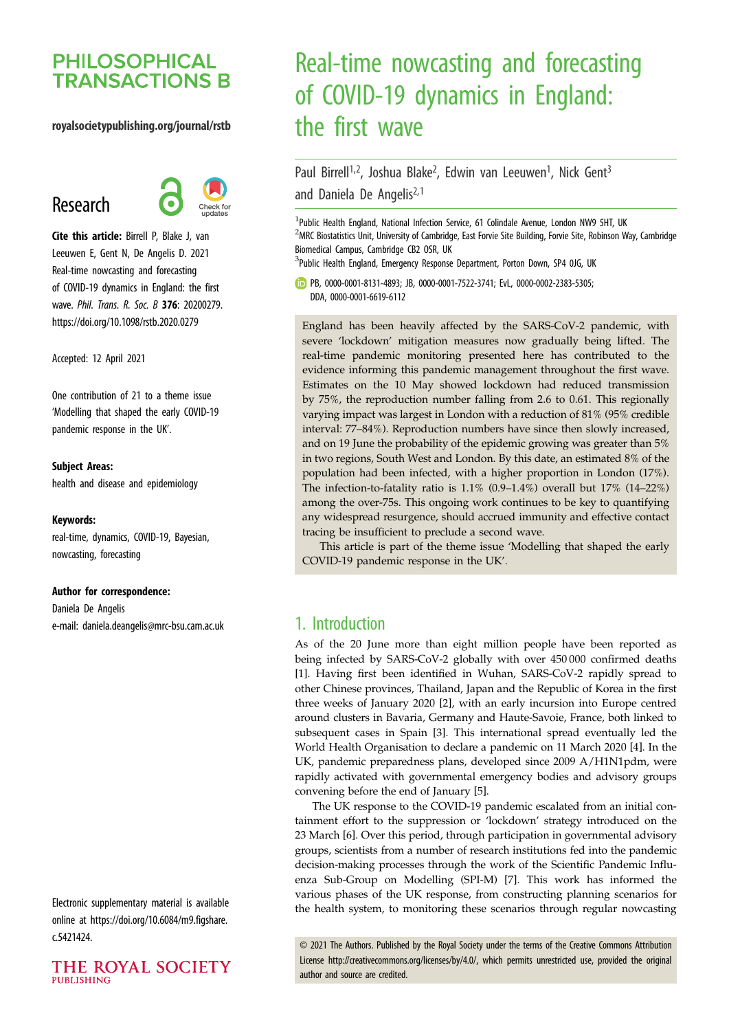## **PHILOSOPHICAL TRANSACTIONS B**

#### royalsocietypublishing.org/journal/rstb

## Research



Cite this article: Birrell P, Blake J, van Leeuwen E, Gent N, De Angelis D. 2021 Real-time nowcasting and forecasting of COVID-19 dynamics in England: the first wave. Phil. Trans. R. Soc. B 376: 20200279. https://doi.org/10.1098/rstb.2020.0279

Accepted: 12 April 2021

One contribution of 21 to a theme issue '[Modelling that shaped the early COVID-19](http://dx.doi.org/10.1098/rstb/376/1829) [pandemic response in the UK](http://dx.doi.org/10.1098/rstb/376/1829)'.

#### Subject Areas:

health and disease and epidemiology

#### Keywords:

real-time, dynamics, COVID-19, Bayesian, nowcasting, forecasting

#### Author for correspondence:

Daniela De Angelis e-mail: [daniela.deangelis@mrc-bsu.cam.ac.uk](mailto:daniela.deangelis@mrc-bsu.cam.ac.uk)

Electronic supplementary material is available online at [https://doi.org/10.6084/m9.figshare.](https://doi.org/10.6084/m9.figshare.c.5421424) [c.5421424.](https://doi.org/10.6084/m9.figshare.c.5421424)



# Real-time nowcasting and forecasting of COVID-19 dynamics in England: the first wave

## Paul Birrell<sup>1,2</sup>, Joshua Blake<sup>2</sup>, Edwin van Leeuwen<sup>1</sup>, Nick Gent<sup>3</sup> and Daniela De Angelis<sup>2,1</sup>

<sup>1</sup>Public Health England, National Infection Service, 61 Colindale Avenue, London NW9 5HT, UK <sup>2</sup>MRC Biostatistics Unit, University of Cambridge, East Forvie Site Building, Forvie Site, Robinson Way, Cambridge Biomedical Campus, Cambridge CB2 OSR, UK

<sup>3</sup>Public Health England, Emergency Response Department, Porton Down, SP4 0JG, UK

PB, [0000-0001-8131-4893;](http://orcid.org/0000-0001-8131-4893) JB, [0000-0001-7522-3741](http://orcid.org/0000-0001-7522-3741); EvL, [0000-0002-2383-5305](http://orcid.org/0000-0002-2383-5305); DDA, [0000-0001-6619-6112](http://orcid.org/0000-0001-6619-6112)

England has been heavily affected by the SARS-CoV-2 pandemic, with severe 'lockdown' mitigation measures now gradually being lifted. The real-time pandemic monitoring presented here has contributed to the evidence informing this pandemic management throughout the first wave. Estimates on the 10 May showed lockdown had reduced transmission by 75%, the reproduction number falling from 2.6 to 0.61. This regionally varying impact was largest in London with a reduction of 81% (95% credible interval: 77–84%). Reproduction numbers have since then slowly increased, and on 19 June the probability of the epidemic growing was greater than 5% in two regions, South West and London. By this date, an estimated 8% of the population had been infected, with a higher proportion in London (17%). The infection-to-fatality ratio is 1.1% (0.9–1.4%) overall but 17% (14–22%) among the over-75s. This ongoing work continues to be key to quantifying any widespread resurgence, should accrued immunity and effective contact tracing be insufficient to preclude a second wave.

This article is part of the theme issue 'Modelling that shaped the early COVID-19 pandemic response in the UK'.

### 1. Introduction

As of the 20 June more than eight million people have been reported as being infected by SARS-CoV-2 globally with over 450 000 confirmed deaths [[1](#page-8-0)]. Having first been identified in Wuhan, SARS-CoV-2 rapidly spread to other Chinese provinces, Thailand, Japan and the Republic of Korea in the first three weeks of January 2020 [[2](#page-8-0)], with an early incursion into Europe centred around clusters in Bavaria, Germany and Haute-Savoie, France, both linked to subsequent cases in Spain [[3](#page-8-0)]. This international spread eventually led the World Health Organisation to declare a pandemic on 11 March 2020 [\[4\]](#page-8-0). In the UK, pandemic preparedness plans, developed since 2009 A/H1N1pdm, were rapidly activated with governmental emergency bodies and advisory groups convening before the end of January [[5](#page-8-0)].

The UK response to the COVID-19 pandemic escalated from an initial containment effort to the suppression or 'lockdown' strategy introduced on the 23 March [[6](#page-8-0)]. Over this period, through participation in governmental advisory groups, scientists from a number of research institutions fed into the pandemic decision-making processes through the work of the Scientific Pandemic Influenza Sub-Group on Modelling (SPI-M) [[7](#page-8-0)]. This work has informed the various phases of the UK response, from constructing planning scenarios for the health system, to monitoring these scenarios through regular nowcasting

© 2021 The Authors. Published by the Royal Society under the terms of the Creative Commons Attribution License<http://creativecommons.org/licenses/by/4.0/>, which permits unrestricted use, provided the original author and source are credited.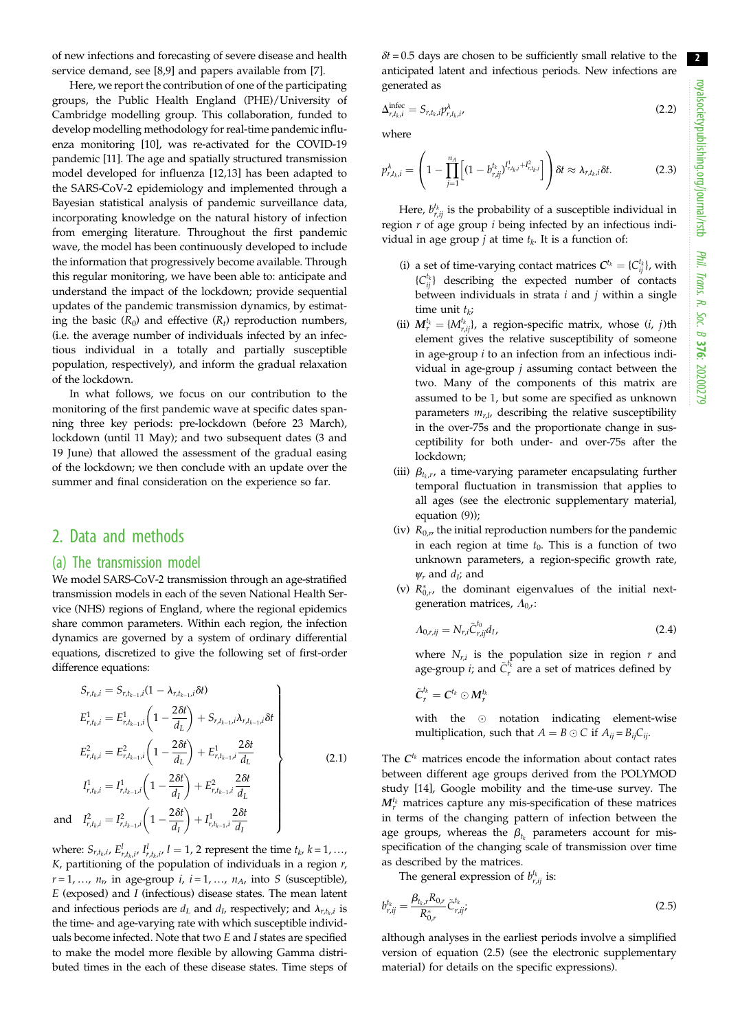of new infections and forecasting of severe disease and health service demand, see [[8,9\]](#page-8-0) and papers available from [\[7\]](#page-8-0).

Here, we report the contribution of one of the participating groups, the Public Health England (PHE)/University of Cambridge modelling group. This collaboration, funded to develop modelling methodology for real-time pandemic influenza monitoring [\[10](#page-8-0)], was re-activated for the COVID-19 pandemic [[11\]](#page-8-0). The age and spatially structured transmission model developed for influenza [[12,13](#page-8-0)] has been adapted to the SARS-CoV-2 epidemiology and implemented through a Bayesian statistical analysis of pandemic surveillance data, incorporating knowledge on the natural history of infection from emerging literature. Throughout the first pandemic wave, the model has been continuously developed to include the information that progressively become available. Through this regular monitoring, we have been able to: anticipate and understand the impact of the lockdown; provide sequential updates of the pandemic transmission dynamics, by estimating the basic  $(R_0)$  and effective  $(R_t)$  reproduction numbers, (i.e. the average number of individuals infected by an infectious individual in a totally and partially susceptible population, respectively), and inform the gradual relaxation of the lockdown.

In what follows, we focus on our contribution to the monitoring of the first pandemic wave at specific dates spanning three key periods: pre-lockdown (before 23 March), lockdown (until 11 May); and two subsequent dates (3 and 19 June) that allowed the assessment of the gradual easing of the lockdown; we then conclude with an update over the summer and final consideration on the experience so far.

#### 2. Data and methods

an

#### (a) The transmission model

We model SARS-CoV-2 transmission through an age-stratified transmission models in each of the seven National Health Service (NHS) regions of England, where the regional epidemics share common parameters. Within each region, the infection dynamics are governed by a system of ordinary differential equations, discretized to give the following set of first-order difference equations:

$$
S_{r,t_{k},i} = S_{r,t_{k-1},i}(1 - \lambda_{r,t_{k-1},i}\delta t)
$$
\n
$$
E_{r,t_{k},i}^{1} = E_{r,t_{k-1},i}^{1}\left(1 - \frac{2\delta t}{d_{L}}\right) + S_{r,t_{k-1},i}\lambda_{r,t_{k-1},i}\delta t
$$
\n
$$
E_{r,t_{k},i}^{2} = E_{r,t_{k-1},i}^{2}\left(1 - \frac{2\delta t}{d_{L}}\right) + E_{r,t_{k-1},i}^{1} \frac{2\delta t}{d_{L}}
$$
\n
$$
I_{r,t_{k},i}^{1} = I_{r,t_{k-1},i}^{1}\left(1 - \frac{2\delta t}{d_{I}}\right) + E_{r,t_{k-1},i}^{2} \frac{2\delta t}{d_{L}}
$$
\n
$$
I_{r,t_{k},i}^{2} = I_{r,t_{k-1},i}^{2}\left(1 - \frac{2\delta t}{d_{I}}\right) + I_{r,t_{k-1},i}^{1} \frac{2\delta t}{d_{I}}
$$
\n(2.1)

where:  $S_{r,t_k,i}, E_{r,t_k,i'}^l$ ,  $I_{r,t_k,i'}^l$ ,  $l = 1, 2$  represent the time  $t_k$ ,  $k = 1, ...,$  $K$ , partitioning of the population of individuals in a region  $r$ ,  $r = 1, \ldots, n_r$  in age-group *i*,  $i = 1, \ldots, n_A$ , into *S* (susceptible),  $E$  (exposed) and  $I$  (infectious) disease states. The mean latent and infectious periods are  $d_L$  and  $d_L$ , respectively; and  $\lambda_{r,t_k,i}$  is the time- and age-varying rate with which susceptible individuals become infected. Note that two E and I states are specified to make the model more flexible by allowing Gamma distributed times in the each of these disease states. Time steps of  $\delta t = 0.5$  days are chosen to be sufficiently small relative to the anticipated latent and infectious periods. New infections are generated as

$$
\Delta_{r,t_k,i}^{\text{infcc}} = S_{r,t_k,i} p_{r,t_k,i}^{\lambda},\tag{2.2}
$$

where

$$
p_{r,t_k,i}^{\lambda} = \left(1 - \prod_{j=1}^{n_A} \left[ (1 - b_{r,jj}^{t_k})^{I_{r,t_k,j}^1 + I_{r,t_k,j}^2} \right] \right) \delta t \approx \lambda_{r,t_k,i} \delta t. \tag{2.3}
$$

Here,  $b_{r,ij}^{t_k}$  is the probability of a susceptible individual in region  $r$  of age group  $i$  being infected by an infectious individual in age group *j* at time  $t_k$ . It is a function of:

- (i) a set of time-varying contact matrices  $C^{t_k} = \{C_{ij}^{t_k}\}\,$  with  ${C_{ii}^{t_k}}$  describing the expected number of contacts between individuals in strata  $i$  and  $j$  within a single time unit  $t_k$ ;
- (ii)  $M_r^{t_k} = \{M_{r,ij}^{t_k}\}\text{, a region-specific matrix, whose } (i, j)$ th element gives the relative susceptibility of someone in age-group  $i$  to an infection from an infectious individual in age-group  $j$  assuming contact between the two. Many of the components of this matrix are assumed to be 1, but some are specified as unknown parameters  $m_{r,l}$ , describing the relative susceptibility in the over-75s and the proportionate change in susceptibility for both under- and over-75s after the lockdown;
- (iii)  $\beta_{t_k,r}$ , a time-varying parameter encapsulating further temporal fluctuation in transmission that applies to all ages (see the electronic supplementary material, equation (9));
- (iv)  $R_{0,r}$  the initial reproduction numbers for the pandemic in each region at time  $t_0$ . This is a function of two unknown parameters, a region-specific growth rate,  $\psi_r$  and  $d_I$ ; and
- (v)  $R_{0,r}^*$ , the dominant eigenvalues of the initial nextgeneration matrices,  $\Lambda_{0,r}$ :

$$
\Lambda_{0,r,ij} = N_{r,i} \tilde{C}^{t_0}_{r,ij} d_I,
$$
\n(2.4)

where  $N_{r,i}$  is the population size in region  $r$  and age-group *i*; and  $\tilde{C}^{t_k}_r$  are a set of matrices defined by

$$
\tilde{\bm{C}}_r^{t_k} = \bm{C}^{t_k} \odot \bm{M}_r^{t_k}
$$

with the  $\odot$  notation indicating element-wise multiplication, such that  $A = B \odot C$  if  $A_{ij} = B_{ij}C_{ij}$ .

The  $C^{t_k}$  matrices encode the information about contact rates between different age groups derived from the POLYMOD study [\[14](#page-8-0)], Google mobility and the time-use survey. The  $M_{r}^{t_k}$  matrices capture any mis-specification of these matrices in terms of the changing pattern of infection between the age groups, whereas the  $\beta_{t_k}$  parameters account for misspecification of the changing scale of transmission over time as described by the matrices.

The general expression of  $b_{r,ij}^{t_k}$  is:

$$
b_{r,ij}^{t_k} = \frac{\beta_{t_k,r} R_{0,r}}{R_{0,r}^*} \tilde{C}_{r,ij}^{t_k}.
$$
\n(2.5)

although analyses in the earliest periods involve a simplified version of equation (2.5) (see the electronic supplementary material) for details on the specific expressions).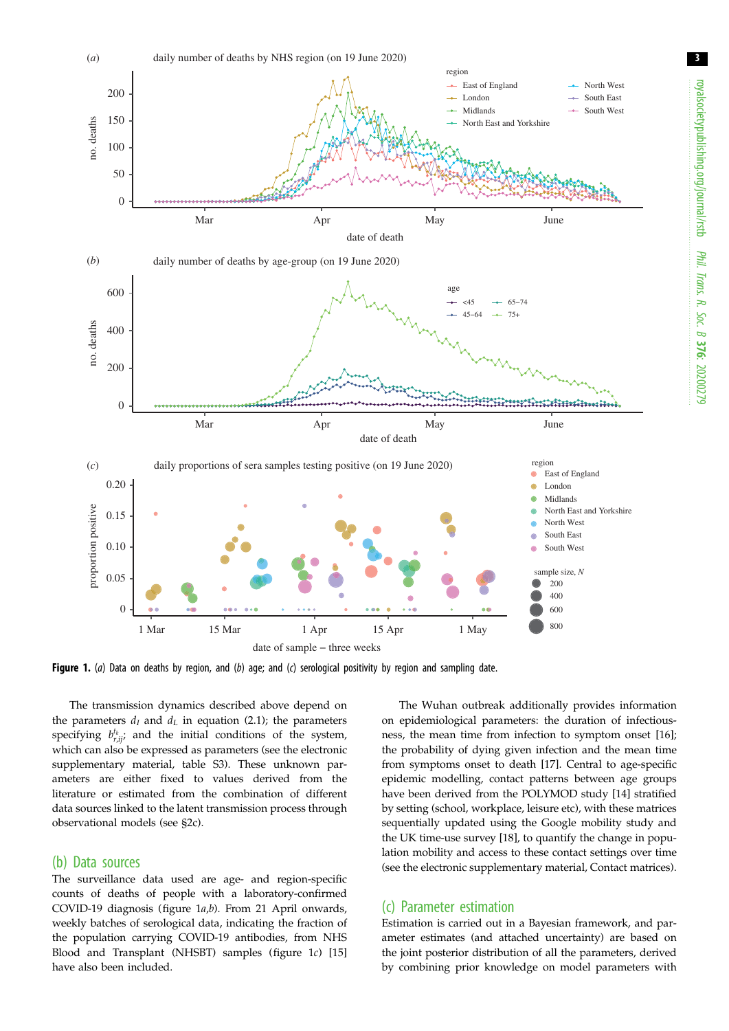<span id="page-2-0"></span>

Figure 1. (a) Data on deaths by region, and (b) age; and (c) serological positivity by region and sampling date.

The transmission dynamics described above depend on the parameters  $d_I$  and  $d_L$  in equation (2.1); the parameters specifying  $b_{r,ij}^{t_k}$ ; and the initial conditions of the system, which can also be expressed as parameters (see the electronic supplementary material, table S3). These unknown parameters are either fixed to values derived from the literature or estimated from the combination of different data sources linked to the latent transmission process through observational models (see §2c).

#### (b) Data sources

The surveillance data used are age- and region-specific counts of deaths of people with a laboratory-confirmed COVID-19 diagnosis (figure 1a,b). From 21 April onwards, weekly batches of serological data, indicating the fraction of the population carrying COVID-19 antibodies, from NHS Blood and Transplant (NHSBT) samples (figure 1c) [[15\]](#page-8-0) have also been included.

The Wuhan outbreak additionally provides information on epidemiological parameters: the duration of infectiousness, the mean time from infection to symptom onset [[16\]](#page-8-0); the probability of dying given infection and the mean time from symptoms onset to death [[17\]](#page-8-0). Central to age-specific epidemic modelling, contact patterns between age groups have been derived from the POLYMOD study [\[14](#page-8-0)] stratified by setting (school, workplace, leisure etc), with these matrices sequentially updated using the Google mobility study and the UK time-use survey [[18\]](#page-8-0), to quantify the change in population mobility and access to these contact settings over time (see the electronic supplementary material, Contact matrices).

#### (c) Parameter estimation

Estimation is carried out in a Bayesian framework, and parameter estimates (and attached uncertainty) are based on the joint posterior distribution of all the parameters, derived by combining prior knowledge on model parameters with 3

Phil. Trans.

 R. Soc. $\sigma$ 

376: 20200279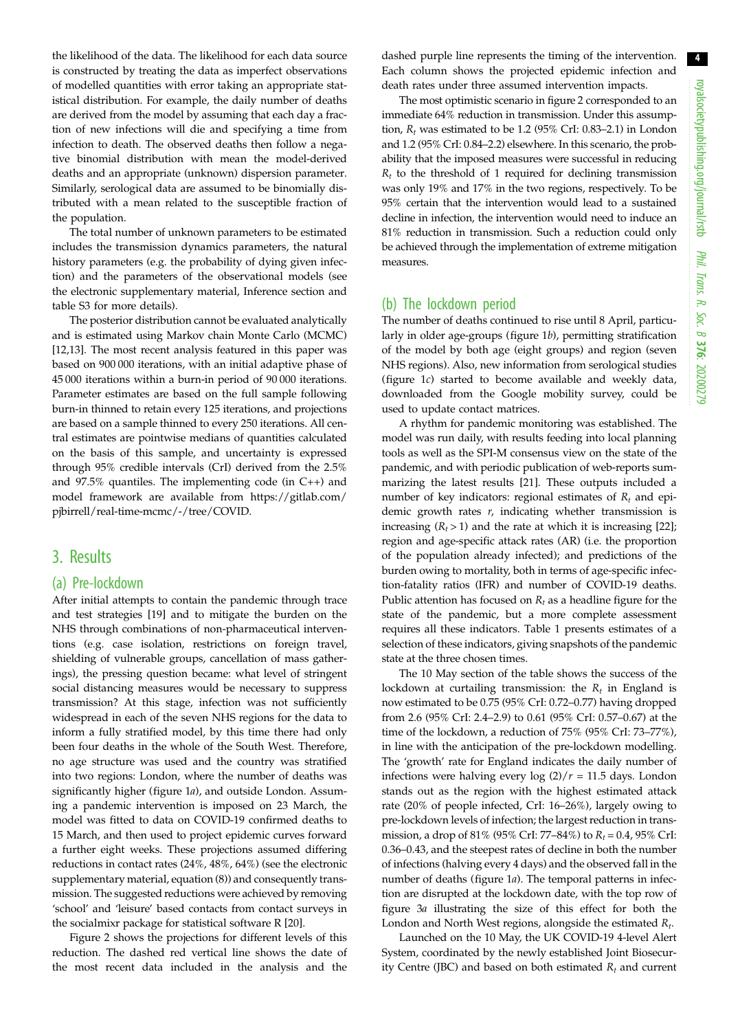the likelihood of the data. The likelihood for each data source is constructed by treating the data as imperfect observations of modelled quantities with error taking an appropriate statistical distribution. For example, the daily number of deaths are derived from the model by assuming that each day a fraction of new infections will die and specifying a time from infection to death. The observed deaths then follow a negative binomial distribution with mean the model-derived deaths and an appropriate (unknown) dispersion parameter. Similarly, serological data are assumed to be binomially distributed with a mean related to the susceptible fraction of the population.

The total number of unknown parameters to be estimated includes the transmission dynamics parameters, the natural history parameters (e.g. the probability of dying given infection) and the parameters of the observational models (see the electronic supplementary material, Inference section and table S3 for more details).

The posterior distribution cannot be evaluated analytically and is estimated using Markov chain Monte Carlo (MCMC) [\[12](#page-8-0),[13\]](#page-8-0). The most recent analysis featured in this paper was based on 900 000 iterations, with an initial adaptive phase of 45 000 iterations within a burn-in period of 90 000 iterations. Parameter estimates are based on the full sample following burn-in thinned to retain every 125 iterations, and projections are based on a sample thinned to every 250 iterations. All central estimates are pointwise medians of quantities calculated on the basis of this sample, and uncertainty is expressed through 95% credible intervals (CrI) derived from the 2.5% and 97.5% quantiles. The implementing code (in C++) and model framework are available from [https://gitlab.com/](https://gitlab.com/pjbirrell/real-time-mcmc/-/tree/COVID) [pjbirrell/real-time-mcmc/-/tree/COVID](https://gitlab.com/pjbirrell/real-time-mcmc/-/tree/COVID).

#### 3. Results

#### (a) Pre-lockdown

After initial attempts to contain the pandemic through trace and test strategies [\[19](#page-8-0)] and to mitigate the burden on the NHS through combinations of non-pharmaceutical interventions (e.g. case isolation, restrictions on foreign travel, shielding of vulnerable groups, cancellation of mass gatherings), the pressing question became: what level of stringent social distancing measures would be necessary to suppress transmission? At this stage, infection was not sufficiently widespread in each of the seven NHS regions for the data to inform a fully stratified model, by this time there had only been four deaths in the whole of the South West. Therefore, no age structure was used and the country was stratified into two regions: London, where the number of deaths was significantly higher ([figure 1](#page-2-0)a), and outside London. Assuming a pandemic intervention is imposed on 23 March, the model was fitted to data on COVID-19 confirmed deaths to 15 March, and then used to project epidemic curves forward a further eight weeks. These projections assumed differing reductions in contact rates (24%, 48%, 64%) (see the electronic supplementary material, equation (8)) and consequently transmission. The suggested reductions were achieved by removing 'school' and 'leisure' based contacts from contact surveys in the socialmixr package for statistical software R [\[20](#page-8-0)].

[Figure 2](#page-4-0) shows the projections for different levels of this reduction. The dashed red vertical line shows the date of the most recent data included in the analysis and the dashed purple line represents the timing of the intervention. Each column shows the projected epidemic infection and death rates under three assumed intervention impacts.

The most optimistic scenario in [figure 2](#page-4-0) corresponded to an immediate 64% reduction in transmission. Under this assumption,  $R_t$  was estimated to be 1.2 (95% CrI: 0.83–2.1) in London and 1.2 (95% CrI: 0.84–2.2) elsewhere. In this scenario, the probability that the imposed measures were successful in reducing  $R_t$  to the threshold of 1 required for declining transmission was only 19% and 17% in the two regions, respectively. To be 95% certain that the intervention would lead to a sustained decline in infection, the intervention would need to induce an 81% reduction in transmission. Such a reduction could only be achieved through the implementation of extreme mitigation measures.

#### (b) The lockdown period

The number of deaths continued to rise until 8 April, particularly in older age-groups [\(figure 1](#page-2-0)b), permitting stratification of the model by both age (eight groups) and region (seven NHS regions). Also, new information from serological studies ([figure 1](#page-2-0)c) started to become available and weekly data, downloaded from the Google mobility survey, could be used to update contact matrices.

A rhythm for pandemic monitoring was established. The model was run daily, with results feeding into local planning tools as well as the SPI-M consensus view on the state of the pandemic, and with periodic publication of web-reports summarizing the latest results [[21](#page-8-0)]. These outputs included a number of key indicators: regional estimates of  $R_t$  and epidemic growth rates  $r$ , indicating whether transmission is increasing  $(R_t > 1)$  and the rate at which it is increasing [[22\]](#page-8-0); region and age-specific attack rates (AR) (i.e. the proportion of the population already infected); and predictions of the burden owing to mortality, both in terms of age-specific infection-fatality ratios (IFR) and number of COVID-19 deaths. Public attention has focused on  $R_t$  as a headline figure for the state of the pandemic, but a more complete assessment requires all these indicators. [Table 1](#page-5-0) presents estimates of a selection of these indicators, giving snapshots of the pandemic state at the three chosen times.

The 10 May section of the table shows the success of the lockdown at curtailing transmission: the  $R_t$  in England is now estimated to be 0.75 (95% CrI: 0.72–0.77) having dropped from 2.6 (95% CrI: 2.4–2.9) to 0.61 (95% CrI: 0.57–0.67) at the time of the lockdown, a reduction of 75% (95% CrI: 73–77%), in line with the anticipation of the pre-lockdown modelling. The 'growth' rate for England indicates the daily number of infections were halving every  $\log (2)/r = 11.5$  days. London stands out as the region with the highest estimated attack rate (20% of people infected, CrI: 16–26%), largely owing to pre-lockdown levels of infection; the largest reduction in transmission, a drop of 81% (95% CrI: 77–84%) to  $R_t = 0.4$ , 95% CrI: 0.36–0.43, and the steepest rates of decline in both the number of infections (halving every 4 days) and the observed fall in the number of deaths [\(figure 1](#page-2-0)a). The temporal patterns in infection are disrupted at the lockdown date, with the top row of [figure 3](#page-7-0)a illustrating the size of this effect for both the London and North West regions, alongside the estimated  $R_t$ .

Launched on the 10 May, the UK COVID-19 4-level Alert System, coordinated by the newly established Joint Biosecurity Centre (JBC) and based on both estimated  $R_t$  and current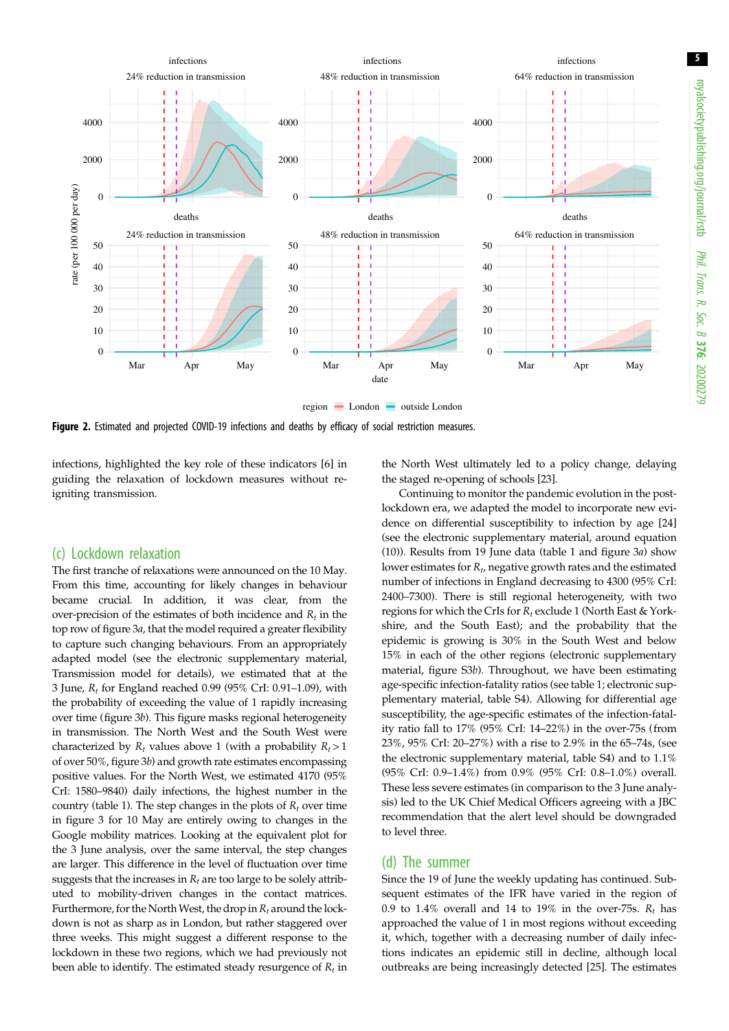5

<span id="page-4-0"></span>

Figure 2. Estimated and projected COVID-19 infections and deaths by efficacy of social restriction measures.

infections, highlighted the key role of these indicators [\[6\]](#page-8-0) in guiding the relaxation of lockdown measures without reigniting transmission.

#### (c) Lockdown relaxation

The first tranche of relaxations were announced on the 10 May. From this time, accounting for likely changes in behaviour became crucial. In addition, it was clear, from the over-precision of the estimates of both incidence and  $R_t$  in the top row of [figure 3](#page-7-0)a, that the model required a greater flexibility to capture such changing behaviours. From an appropriately adapted model (see the electronic supplementary material, Transmission model for details), we estimated that at the 3 June,  $R_t$  for England reached 0.99 (95% CrI: 0.91–1.09), with the probability of exceeding the value of 1 rapidly increasing over time [\(figure 3](#page-7-0)b). This figure masks regional heterogeneity in transmission. The North West and the South West were characterized by  $R_t$  values above 1 (with a probability  $R_t > 1$ ) of over 50%, [figure 3](#page-7-0)b) and growth rate estimates encompassing positive values. For the North West, we estimated 4170 (95% CrI: 1580–9840) daily infections, the highest number in the country ([table 1\)](#page-5-0). The step changes in the plots of  $R_t$  over time in [figure 3](#page-7-0) for 10 May are entirely owing to changes in the Google mobility matrices. Looking at the equivalent plot for the 3 June analysis, over the same interval, the step changes are larger. This difference in the level of fluctuation over time suggests that the increases in  $R_t$  are too large to be solely attributed to mobility-driven changes in the contact matrices. Furthermore, for the North West, the drop in  $R_t$  around the lockdown is not as sharp as in London, but rather staggered over three weeks. This might suggest a different response to the lockdown in these two regions, which we had previously not been able to identify. The estimated steady resurgence of  $R_t$  in

the North West ultimately led to a policy change, delaying the staged re-opening of schools [[23\]](#page-8-0).

Continuing to monitor the pandemic evolution in the postlockdown era, we adapted the model to incorporate new evidence on differential susceptibility to infection by age [[24\]](#page-8-0) (see the electronic supplementary material, around equation (10)). Results from 19 June data ([table 1](#page-5-0) and [figure 3](#page-7-0)a) show lower estimates for  $R_t$ , negative growth rates and the estimated number of infections in England decreasing to 4300 (95% CrI: 2400–7300). There is still regional heterogeneity, with two regions for which the CrIs for  $R_t$  exclude 1 (North East & Yorkshire, and the South East); and the probability that the epidemic is growing is 30% in the South West and below 15% in each of the other regions (electronic supplementary material, figure S3b). Throughout, we have been estimating age-specific infection-fatality ratios (see [table 1;](#page-5-0) electronic supplementary material, table S4). Allowing for differential age susceptibility, the age-specific estimates of the infection-fatality ratio fall to 17% (95% CrI: 14–22%) in the over-75s (from 23%, 95% CrI: 20–27%) with a rise to 2.9% in the 65–74s, (see the electronic supplementary material, table S4) and to 1.1% (95% CrI: 0.9–1.4%) from 0.9% (95% CrI: 0.8–1.0%) overall. These less severe estimates (in comparison to the 3 June analysis) led to the UK Chief Medical Officers agreeing with a JBC recommendation that the alert level should be downgraded to level three.

#### (d) The summer

Since the 19 of June the weekly updating has continued. Subsequent estimates of the IFR have varied in the region of 0.9 to 1.4% overall and 14 to 19% in the over-75s.  $R_t$  has approached the value of 1 in most regions without exceeding it, which, together with a decreasing number of daily infections indicates an epidemic still in decline, although local outbreaks are being increasingly detected [[25](#page-8-0)]. The estimates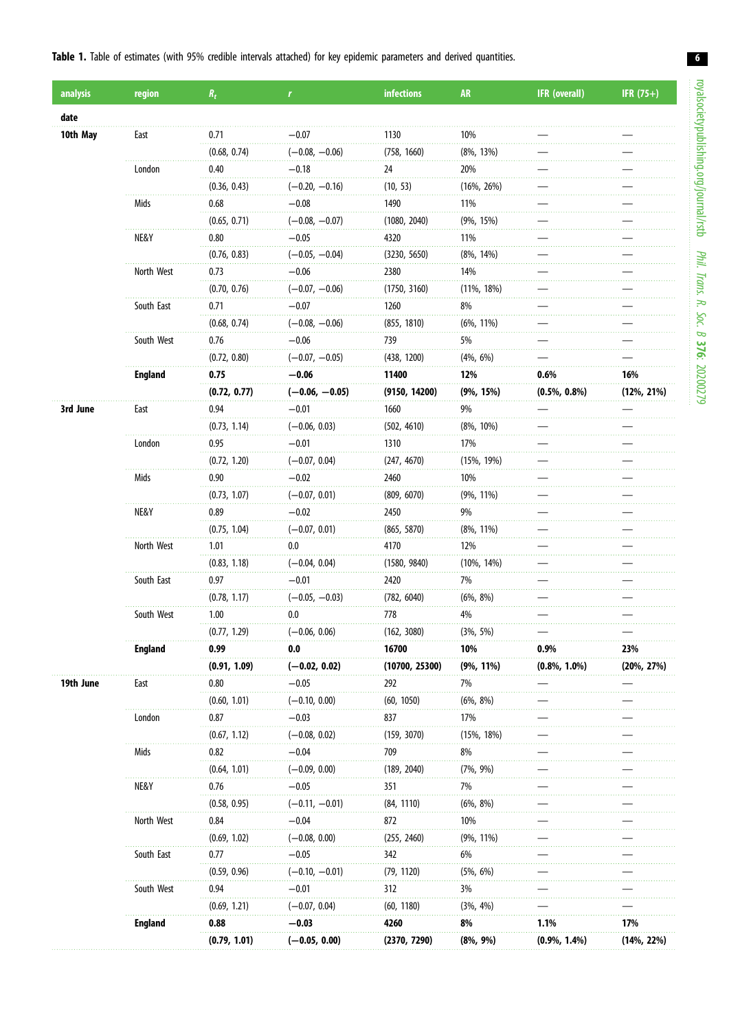#### <span id="page-5-0"></span>Table 1. Table of estimates (with 95% credible intervals attached) for key epidemic parameters and derived quantities.

| analysis  | region         | $R_t$        | $\mathbf{r}$     | infections     | <b>AR</b>      | <b>IFR</b> (overall) | IFR $(75+)$    |
|-----------|----------------|--------------|------------------|----------------|----------------|----------------------|----------------|
| date      |                |              |                  |                |                |                      |                |
| 10th May  | East           | 0.71         | -0.07            | 1130           | 10%            |                      |                |
|           |                | (0.68, 0.74) | $(-0.08, -0.06)$ | (758, 1660)    | $(8\%, 13\%)$  |                      |                |
|           | London         | 0.40         | $-0.18$          | 24             | 20%            |                      |                |
|           |                | (0.36, 0.43) | $(-0.20, -0.16)$ | (10, 53)       | $(16\%, 26\%)$ |                      |                |
|           | Mids           | 0.68         | $-0.08$          | 1490           | 11%            |                      |                |
|           |                | (0.65, 0.71) | $(-0.08, -0.07)$ | (1080, 2040)   | $(9\%, 15\%)$  |                      |                |
|           | NE&Y           | 0.80         | $-0.05$          | 4320           | 11%            |                      |                |
|           |                | (0.76, 0.83) | $(-0.05, -0.04)$ | (3230, 5650)   | $(8\%, 14\%)$  |                      |                |
|           | North West     | 0.73         | $-0.06$          | 2380           | 14%            |                      |                |
|           |                | (0.70, 0.76) | $(-0.07, -0.06)$ | (1750, 3160)   | $(11\%, 18\%)$ |                      |                |
|           | South East     | 0.71         | $-0.07$          | 1260           | 8%             |                      |                |
|           |                | (0.68, 0.74) | $(-0.08, -0.06)$ | (855, 1810)    | $(6\%, 11\%)$  |                      |                |
|           | South West     | 0.76         | $-0.06$          | 739            | 5%             |                      |                |
|           |                | (0.72, 0.80) | $(-0.07, -0.05)$ | (438, 1200)    | $(4\%, 6\%)$   |                      |                |
|           | <b>England</b> | 0.75         | $-0.06$          | 11400          | 12%            | 0.6%                 | 16%            |
|           |                | (0.72, 0.77) | $(-0.06, -0.05)$ | (9150, 14200)  | $(9\%, 15\%)$  | $(0.5\%, 0.8\%)$     | $(12\%, 21\%)$ |
| 3rd June  | East           | 0.94         | $-0.01$          | 1660           | 9%             |                      |                |
|           |                | (0.73, 1.14) | $(-0.06, 0.03)$  | (502, 4610)    | $(8\%, 10\%)$  |                      |                |
|           | London         | 0.95         | $-0.01$          | 1310           | 17%            |                      |                |
|           |                | (0.72, 1.20) | $(-0.07, 0.04)$  | (247, 4670)    | $(15\%, 19\%)$ |                      |                |
|           | Mids           | 0.90         | $-0.02$          | 2460           | 10%            |                      |                |
|           |                | (0.73, 1.07) | $(-0.07, 0.01)$  | (809, 6070)    | $(9\%, 11\%)$  |                      |                |
|           | NE&Y           | 0.89         | $-0.02$          | 2450           | 9%             |                      |                |
|           |                | (0.75, 1.04) | $(-0.07, 0.01)$  | (865, 5870)    | $(8\%, 11\%)$  |                      |                |
|           | North West     | 1.01         | 0.0              | 4170           | 12%            |                      |                |
|           |                | (0.83, 1.18) | $(-0.04, 0.04)$  | (1580, 9840)   | $(10\%, 14\%)$ |                      |                |
|           | South East     | 0.97         | $-0.01$          | 2420           | 7%             |                      |                |
|           |                | (0.78, 1.17) | $(-0.05, -0.03)$ | (782, 6040)    | $(6\%, 8\%)$   |                      |                |
|           | South West     | 1.00         | 0.0              | 778            | 4%             |                      |                |
|           |                | (0.77, 1.29) | $(-0.06, 0.06)$  | (162, 3080)    | $(3\%, 5\%)$   |                      |                |
|           | <b>England</b> | 0.99         | 0.0              | 16700          | 10%            | 0.9%                 | 23%            |
|           |                | (0.91, 1.09) | $(-0.02, 0.02)$  | (10700, 25300) | $(9\%, 11\%)$  | $(0.8\%, 1.0\%)$     | $(20\%, 27\%)$ |
| 19th June | East           | 0.80         | $-0.05$          | 292            | 7%             |                      |                |
|           |                | (0.60, 1.01) | $(-0.10, 0.00)$  | (60, 1050)     | $(6\%, 8\%)$   |                      |                |
|           | London         | 0.87         | $-0.03$          | 837            | 17%            |                      |                |
|           |                | (0.67, 1.12) | $(-0.08, 0.02)$  | (159, 3070)    | $(15\%, 18\%)$ |                      |                |
|           | Mids           | 0.82         | $-0.04$          | 709            | 8%             |                      |                |
|           |                | (0.64, 1.01) | $(-0.09, 0.00)$  | (189, 2040)    | $(7\%, 9\%)$   |                      |                |
|           | NE&Y           | 0.76         | $-0.05$          | 351            | 7%             |                      |                |
|           |                | (0.58, 0.95) | $(-0.11, -0.01)$ | (84, 1110)     | $(6\%, 8\%)$   |                      |                |
|           | North West     | 0.84         | $-0.04$          | 872            | 10%            |                      |                |
|           |                | (0.69, 1.02) | $(-0.08, 0.00)$  | (255, 2460)    | $(9\%, 11\%)$  |                      |                |
|           | South East     | 0.77         | $-0.05$          | 342            | 6%             |                      |                |
|           |                | (0.59, 0.96) | $(-0.10, -0.01)$ | (79, 1120)     | $(5\%, 6\%)$   |                      |                |
|           | South West     | 0.94         | $-0.01$          | 312            | 3%             |                      |                |
|           |                | (0.69, 1.21) | $(-0.07, 0.04)$  | (60, 1180)     | $(3\%, 4\%)$   |                      |                |
|           | <b>England</b> | 0.88         | $-0.03$          | 4260           | 8%             | 1.1%                 | 17%            |
|           |                | (0.79, 1.01) | $(-0.05, 0.00)$  | (2370, 7290)   | $(8\%, 9\%)$   | $(0.9\%, 1.4\%)$     | $(14\%, 22\%)$ |

6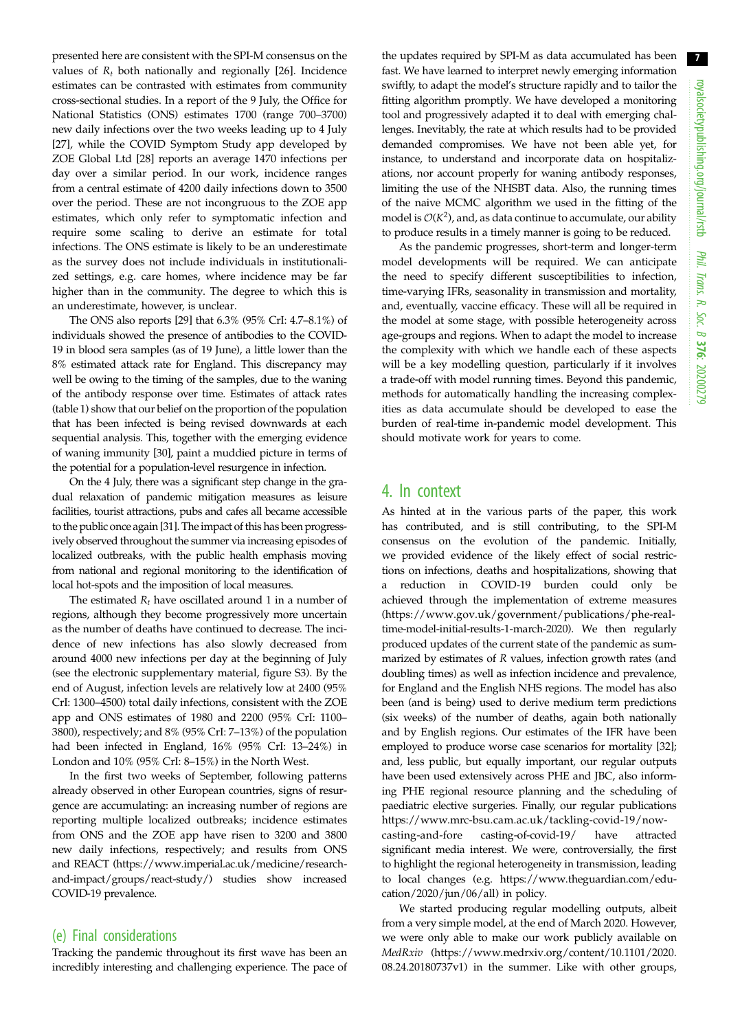7

presented here are consistent with the SPI-M consensus on the values of  $R_t$  both nationally and regionally [[26\]](#page-8-0). Incidence estimates can be contrasted with estimates from community cross-sectional studies. In a report of the 9 July, the Office for National Statistics (ONS) estimates 1700 (range 700–3700) new daily infections over the two weeks leading up to 4 July [\[27](#page-8-0)], while the COVID Symptom Study app developed by ZOE Global Ltd [\[28](#page-8-0)] reports an average 1470 infections per day over a similar period. In our work, incidence ranges from a central estimate of 4200 daily infections down to 3500 over the period. These are not incongruous to the ZOE app estimates, which only refer to symptomatic infection and require some scaling to derive an estimate for total infections. The ONS estimate is likely to be an underestimate as the survey does not include individuals in institutionalized settings, e.g. care homes, where incidence may be far higher than in the community. The degree to which this is an underestimate, however, is unclear.

The ONS also reports [\[29](#page-8-0)] that 6.3% (95% CrI: 4.7–8.1%) of individuals showed the presence of antibodies to the COVID-19 in blood sera samples (as of 19 June), a little lower than the 8% estimated attack rate for England. This discrepancy may well be owing to the timing of the samples, due to the waning of the antibody response over time. Estimates of attack rates [\(table 1\)](#page-5-0) show that our belief on the proportion of the population that has been infected is being revised downwards at each sequential analysis. This, together with the emerging evidence of waning immunity [\[30\]](#page-8-0), paint a muddied picture in terms of the potential for a population-level resurgence in infection.

On the 4 July, there was a significant step change in the gradual relaxation of pandemic mitigation measures as leisure facilities, tourist attractions, pubs and cafes all became accessible to the public once again [\[31\]](#page-8-0). The impact of this has been progressively observed throughout the summer via increasing episodes of localized outbreaks, with the public health emphasis moving from national and regional monitoring to the identification of local hot-spots and the imposition of local measures.

The estimated  $R_t$  have oscillated around 1 in a number of regions, although they become progressively more uncertain as the number of deaths have continued to decrease. The incidence of new infections has also slowly decreased from around 4000 new infections per day at the beginning of July (see the electronic supplementary material, figure S3). By the end of August, infection levels are relatively low at 2400 (95% CrI: 1300–4500) total daily infections, consistent with the ZOE app and ONS estimates of 1980 and 2200 (95% CrI: 1100– 3800), respectively; and 8% (95% CrI: 7–13%) of the population had been infected in England, 16% (95% CrI: 13–24%) in London and 10% (95% CrI: 8–15%) in the North West.

In the first two weeks of September, following patterns already observed in other European countries, signs of resurgence are accumulating: an increasing number of regions are reporting multiple localized outbreaks; incidence estimates from ONS and the ZOE app have risen to 3200 and 3800 new daily infections, respectively; and results from ONS and REACT [\(https://www.imperial.ac.uk/medicine/research](https://www.imperial.ac.uk/medicine/research-and-impact/groups/react-study/)[and-impact/groups/react-study/\)](https://www.imperial.ac.uk/medicine/research-and-impact/groups/react-study/) studies show increased COVID-19 prevalence.

#### (e) Final considerations

Tracking the pandemic throughout its first wave has been an incredibly interesting and challenging experience. The pace of the updates required by SPI-M as data accumulated has been fast. We have learned to interpret newly emerging information swiftly, to adapt the model's structure rapidly and to tailor the fitting algorithm promptly. We have developed a monitoring tool and progressively adapted it to deal with emerging challenges. Inevitably, the rate at which results had to be provided demanded compromises. We have not been able yet, for instance, to understand and incorporate data on hospitalizations, nor account properly for waning antibody responses, limiting the use of the NHSBT data. Also, the running times of the naive MCMC algorithm we used in the fitting of the model is  $O(K^2)$ , and, as data continue to accumulate, our ability to produce results in a timely manner is going to be reduced.

As the pandemic progresses, short-term and longer-term model developments will be required. We can anticipate the need to specify different susceptibilities to infection, time-varying IFRs, seasonality in transmission and mortality, and, eventually, vaccine efficacy. These will all be required in the model at some stage, with possible heterogeneity across age-groups and regions. When to adapt the model to increase the complexity with which we handle each of these aspects will be a key modelling question, particularly if it involves a trade-off with model running times. Beyond this pandemic, methods for automatically handling the increasing complexities as data accumulate should be developed to ease the burden of real-time in-pandemic model development. This should motivate work for years to come.

#### 4. In context

As hinted at in the various parts of the paper, this work has contributed, and is still contributing, to the SPI-M consensus on the evolution of the pandemic. Initially, we provided evidence of the likely effect of social restrictions on infections, deaths and hospitalizations, showing that a reduction in COVID-19 burden could only be achieved through the implementation of extreme measures ([https://www.gov.uk/government/publications/phe-real](https://www.gov.uk/government/publications/phe-real-time-model-initial-results-1-march-2020)[time-model-initial-results-1-march-2020\)](https://www.gov.uk/government/publications/phe-real-time-model-initial-results-1-march-2020). We then regularly produced updates of the current state of the pandemic as summarized by estimates of R values, infection growth rates (and doubling times) as well as infection incidence and prevalence, for England and the English NHS regions. The model has also been (and is being) used to derive medium term predictions (six weeks) of the number of deaths, again both nationally and by English regions. Our estimates of the IFR have been employed to produce worse case scenarios for mortality [[32\]](#page-8-0); and, less public, but equally important, our regular outputs have been used extensively across PHE and JBC, also informing PHE regional resource planning and the scheduling of paediatric elective surgeries. Finally, our regular publications [https://www.mrc-bsu.cam.ac.uk/tackling-covid-19/now](https://www.mrc-bsu.cam.ac.uk/tackling-covid-19/nowcasting-and-forecasting-of-covid-19/)[casting-and-fore casting-of-covid-19/](https://www.mrc-bsu.cam.ac.uk/tackling-covid-19/nowcasting-and-forecasting-of-covid-19/) have attracted significant media interest. We were, controversially, the first to highlight the regional heterogeneity in transmission, leading to local changes (e.g. [https://www.theguardian.com/edu](https://www.theguardian.com/education/2020/jun/06/all)[cation/2020/jun/06/all](https://www.theguardian.com/education/2020/jun/06/all)) in policy.

We started producing regular modelling outputs, albeit from a very simple model, at the end of March 2020. However, we were only able to make our work publicly available on MedRxiv ([https://www.medrxiv.org/content/10.1101/2020.](https://www.medrxiv.org/content/10.1101/2020.08.24.20180737v1) [08.24.20180737v1](https://www.medrxiv.org/content/10.1101/2020.08.24.20180737v1)) in the summer. Like with other groups,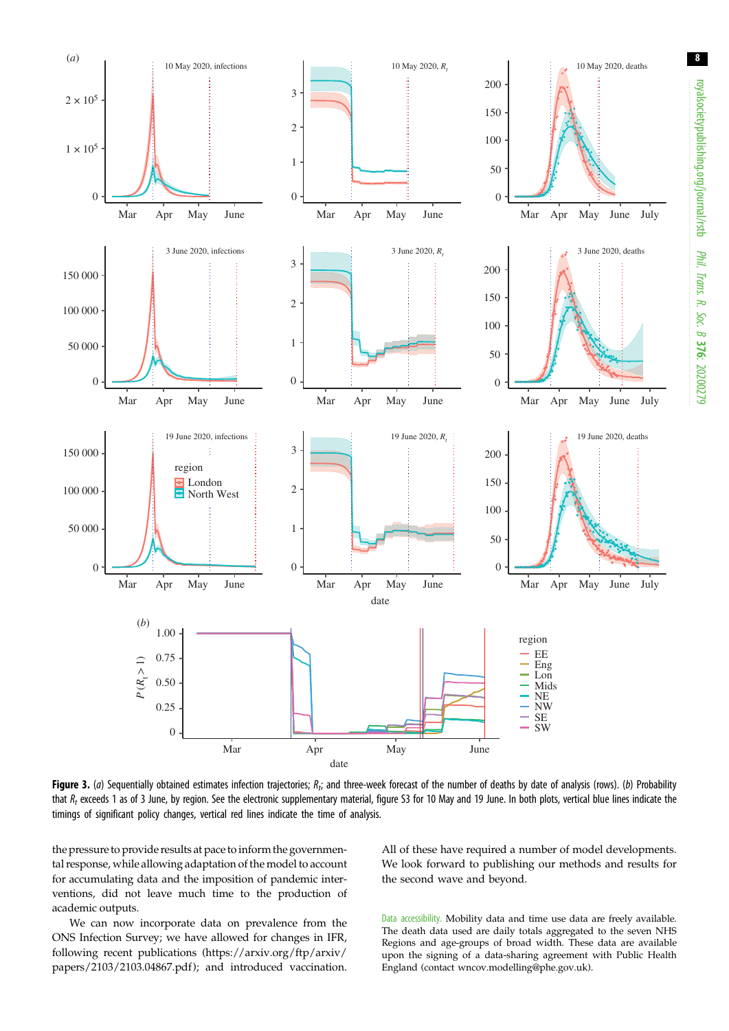<span id="page-7-0"></span>

Figure 3. (a) Sequentially obtained estimates infection trajectories;  $R_t$ ; and three-week forecast of the number of deaths by date of analysis (rows). (b) Probability that  $R_t$  exceeds 1 as of 3 June, by region. See the electronic supplementary material, figure S3 for 10 May and 19 June. In both plots, vertical blue lines indicate the timings of significant policy changes, vertical red lines indicate the time of analysis.

the pressure to provide results at pace to inform the governmental response, while allowing adaptation of the model to account for accumulating data and the imposition of pandemic interventions, did not leave much time to the production of academic outputs.

We can now incorporate data on prevalence from the ONS Infection Survey; we have allowed for changes in IFR, following recent publications ([https://arxiv.org/ftp/arxiv/](https://arxiv.org/ftp/arxiv/papers/2103/2103.04867.pdf) [papers/2103/2103.04867.pdf](https://arxiv.org/ftp/arxiv/papers/2103/2103.04867.pdf) ); and introduced vaccination. All of these have required a number of model developments. We look forward to publishing our methods and results for the second wave and beyond.

Data accessibility. Mobility data and time use data are freely available. The death data used are daily totals aggregated to the seven NHS Regions and age-groups of broad width. These data are available upon the signing of a data-sharing agreement with Public Health England (contact [wncov.modelling@phe.gov.uk](mailto:wncov.modelling@phe.gov.uk)).